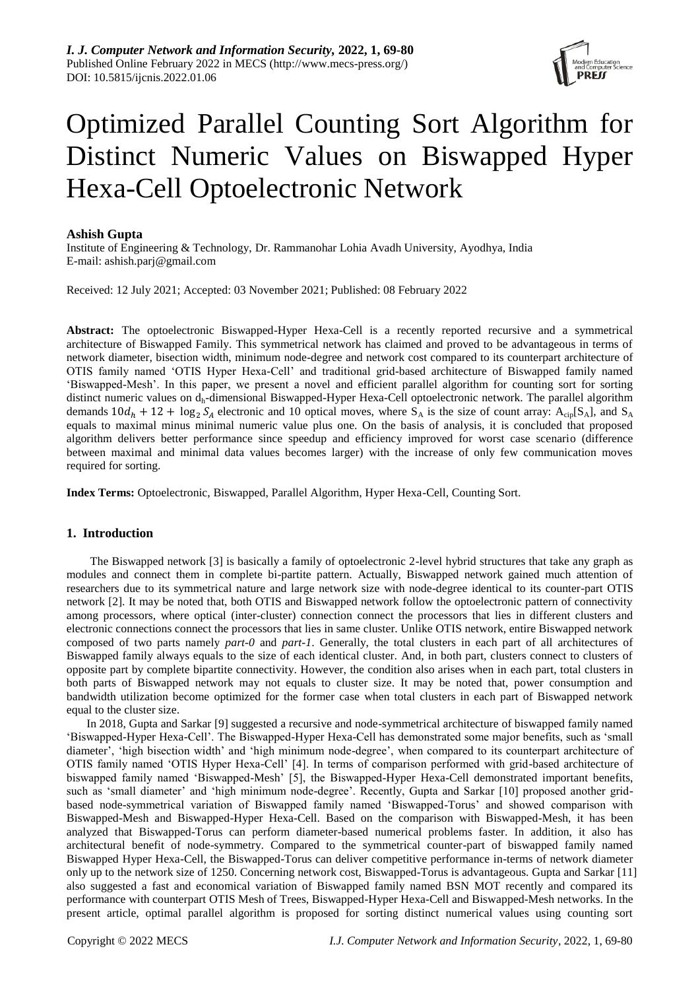

# Optimized Parallel Counting Sort Algorithm for Distinct Numeric Values on Biswapped Hyper Hexa-Cell Optoelectronic Network

## **Ashish Gupta**

Institute of Engineering & Technology, Dr. Rammanohar Lohia Avadh University, Ayodhya, India E-mail: ashish.parj@gmail.com

Received: 12 July 2021; Accepted: 03 November 2021; Published: 08 February 2022

**Abstract:** The optoelectronic Biswapped-Hyper Hexa-Cell is a recently reported recursive and a symmetrical architecture of Biswapped Family. This symmetrical network has claimed and proved to be advantageous in terms of network diameter, bisection width, minimum node-degree and network cost compared to its counterpart architecture of OTIS family named 'OTIS Hyper Hexa-Cell' and traditional grid-based architecture of Biswapped family named 'Biswapped-Mesh'. In this paper, we present a novel and efficient parallel algorithm for counting sort for sorting distinct numeric values on dh-dimensional Biswapped-Hyper Hexa-Cell optoelectronic network. The parallel algorithm demands  $10d_h + 12 + \log_2 S_4$  electronic and 10 optical moves, where S<sub>A</sub> is the size of count array: A<sub>cip</sub>[S<sub>A</sub>], and S<sub>A</sub> equals to maximal minus minimal numeric value plus one. On the basis of analysis, it is concluded that proposed algorithm delivers better performance since speedup and efficiency improved for worst case scenario (difference between maximal and minimal data values becomes larger) with the increase of only few communication moves required for sorting.

**Index Terms:** Optoelectronic, Biswapped, Parallel Algorithm, Hyper Hexa-Cell, Counting Sort.

## **1. Introduction**

The Biswapped network [3] is basically a family of optoelectronic 2-level hybrid structures that take any graph as modules and connect them in complete bi-partite pattern. Actually, Biswapped network gained much attention of researchers due to its symmetrical nature and large network size with node-degree identical to its counter-part OTIS network [2]. It may be noted that, both OTIS and Biswapped network follow the optoelectronic pattern of connectivity among processors, where optical (inter-cluster) connection connect the processors that lies in different clusters and electronic connections connect the processors that lies in same cluster. Unlike OTIS network, entire Biswapped network composed of two parts namely *part-0* and *part-1*. Generally, the total clusters in each part of all architectures of Biswapped family always equals to the size of each identical cluster. And, in both part, clusters connect to clusters of opposite part by complete bipartite connectivity. However, the condition also arises when in each part, total clusters in both parts of Biswapped network may not equals to cluster size. It may be noted that, power consumption and bandwidth utilization become optimized for the former case when total clusters in each part of Biswapped network equal to the cluster size.

In 2018, Gupta and Sarkar [9] suggested a recursive and node-symmetrical architecture of biswapped family named 'Biswapped-Hyper Hexa-Cell'. The Biswapped-Hyper Hexa-Cell has demonstrated some major benefits, such as 'small diameter', 'high bisection width' and 'high minimum node-degree', when compared to its counterpart architecture of OTIS family named 'OTIS Hyper Hexa-Cell' [4]. In terms of comparison performed with grid-based architecture of biswapped family named 'Biswapped-Mesh' [5], the Biswapped-Hyper Hexa-Cell demonstrated important benefits, such as 'small diameter' and 'high minimum node-degree'. Recently, Gupta and Sarkar [10] proposed another gridbased node-symmetrical variation of Biswapped family named 'Biswapped-Torus' and showed comparison with Biswapped-Mesh and Biswapped-Hyper Hexa-Cell. Based on the comparison with Biswapped-Mesh, it has been analyzed that Biswapped-Torus can perform diameter-based numerical problems faster. In addition, it also has architectural benefit of node-symmetry. Compared to the symmetrical counter-part of biswapped family named Biswapped Hyper Hexa-Cell, the Biswapped-Torus can deliver competitive performance in-terms of network diameter only up to the network size of 1250. Concerning network cost, Biswapped-Torus is advantageous. Gupta and Sarkar [11] also suggested a fast and economical variation of Biswapped family named BSN MOT recently and compared its performance with counterpart OTIS Mesh of Trees, Biswapped-Hyper Hexa-Cell and Biswapped-Mesh networks. In the present article, optimal parallel algorithm is proposed for sorting distinct numerical values using counting sort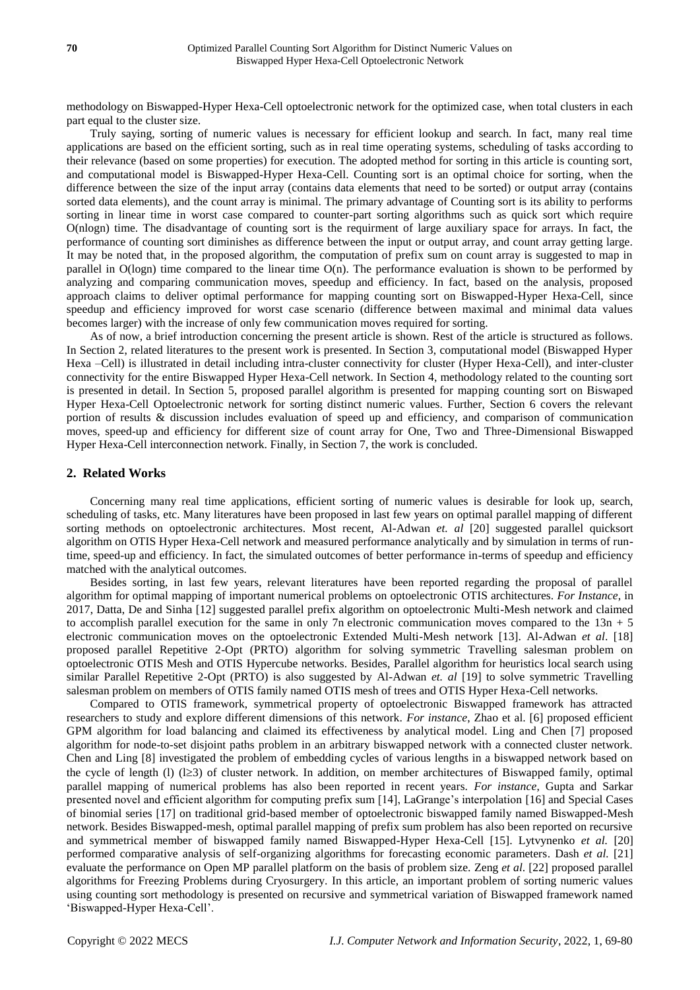methodology on Biswapped-Hyper Hexa-Cell optoelectronic network for the optimized case, when total clusters in each part equal to the cluster size.

Truly saying, sorting of numeric values is necessary for efficient lookup and search. In fact, many real time applications are based on the efficient sorting, such as in real time operating systems, scheduling of tasks according to their relevance (based on some properties) for execution. The adopted method for sorting in this article is counting sort, and computational model is Biswapped-Hyper Hexa-Cell. Counting sort is an optimal choice for sorting, when the difference between the size of the input array (contains data elements that need to be sorted) or output array (contains sorted data elements), and the count array is minimal. The primary advantage of Counting sort is its ability to performs sorting in linear time in worst case compared to counter-part sorting algorithms such as quick sort which require O(nlogn) time. The disadvantage of counting sort is the requirment of large auxiliary space for arrays. In fact, the performance of counting sort diminishes as difference between the input or output array, and count array getting large. It may be noted that, in the proposed algorithm, the computation of prefix sum on count array is suggested to map in parallel in O(logn) time compared to the linear time O(n). The performance evaluation is shown to be performed by analyzing and comparing communication moves, speedup and efficiency. In fact, based on the analysis, proposed approach claims to deliver optimal performance for mapping counting sort on Biswapped-Hyper Hexa-Cell, since speedup and efficiency improved for worst case scenario (difference between maximal and minimal data values becomes larger) with the increase of only few communication moves required for sorting.

As of now, a brief introduction concerning the present article is shown. Rest of the article is structured as follows. In Section 2, related literatures to the present work is presented. In Section 3, computational model (Biswapped Hyper Hexa –Cell) is illustrated in detail including intra-cluster connectivity for cluster (Hyper Hexa-Cell), and inter-cluster connectivity for the entire Biswapped Hyper Hexa-Cell network. In Section 4, methodology related to the counting sort is presented in detail. In Section 5, proposed parallel algorithm is presented for mapping counting sort on Biswaped Hyper Hexa-Cell Optoelectronic network for sorting distinct numeric values. Further, Section 6 covers the relevant portion of results & discussion includes evaluation of speed up and efficiency, and comparison of communication moves, speed-up and efficiency for different size of count array for One, Two and Three-Dimensional Biswapped Hyper Hexa-Cell interconnection network. Finally, in Section 7, the work is concluded.

## **2. Related Works**

Concerning many real time applications, efficient sorting of numeric values is desirable for look up, search, scheduling of tasks, etc. Many literatures have been proposed in last few years on optimal parallel mapping of different sorting methods on optoelectronic architectures. Most recent, Al-Adwan *et. al* [20] suggested parallel quicksort algorithm on OTIS Hyper Hexa-Cell network and measured performance analytically and by simulation in terms of runtime, speed-up and efficiency. In fact, the simulated outcomes of better performance in-terms of speedup and efficiency matched with the analytical outcomes.

Besides sorting, in last few years, relevant literatures have been reported regarding the proposal of parallel algorithm for optimal mapping of important numerical problems on optoelectronic OTIS architectures. *For Instance*, in 2017, Datta, De and Sinha [12] suggested parallel prefix algorithm on optoelectronic Multi-Mesh network and claimed to accomplish parallel execution for the same in only 7n electronic communication moves compared to the  $13n + 5$ electronic communication moves on the optoelectronic Extended Multi-Mesh network [13]. Al-Adwan *et al*. [18] proposed parallel Repetitive 2-Opt (PRTO) algorithm for solving symmetric Travelling salesman problem on optoelectronic OTIS Mesh and OTIS Hypercube networks. Besides, Parallel algorithm for heuristics local search using similar Parallel Repetitive 2-Opt (PRTO) is also suggested by Al-Adwan *et. al* [19] to solve symmetric Travelling salesman problem on members of OTIS family named OTIS mesh of trees and OTIS Hyper Hexa-Cell networks.

Compared to OTIS framework, symmetrical property of optoelectronic Biswapped framework has attracted researchers to study and explore different dimensions of this network. *For instance*, Zhao et al. [6] proposed efficient GPM algorithm for load balancing and claimed its effectiveness by analytical model. Ling and Chen [7] proposed algorithm for node-to-set disjoint paths problem in an arbitrary biswapped network with a connected cluster network. Chen and Ling [8] investigated the problem of embedding cycles of various lengths in a biswapped network based on the cycle of length (l) ( $\geq$ 3) of cluster network. In addition, on member architectures of Biswapped family, optimal parallel mapping of numerical problems has also been reported in recent years. *For instance*, Gupta and Sarkar presented novel and efficient algorithm for computing prefix sum [14], LaGrange's interpolation [16] and Special Cases of binomial series [17] on traditional grid-based member of optoelectronic biswapped family named Biswapped-Mesh network. Besides Biswapped-mesh, optimal parallel mapping of prefix sum problem has also been reported on recursive and symmetrical member of biswapped family named Biswapped-Hyper Hexa-Cell [15]. Lytvynenko *et al.* [20] performed comparative analysis of self-organizing algorithms for forecasting economic parameters. Dash *et al.* [21] evaluate the performance on Open MP parallel platform on the basis of problem size. Zeng *et al*. [22] proposed parallel algorithms for Freezing Problems during Cryosurgery. In this article, an important problem of sorting numeric values using counting sort methodology is presented on recursive and symmetrical variation of Biswapped framework named 'Biswapped-Hyper Hexa-Cell'.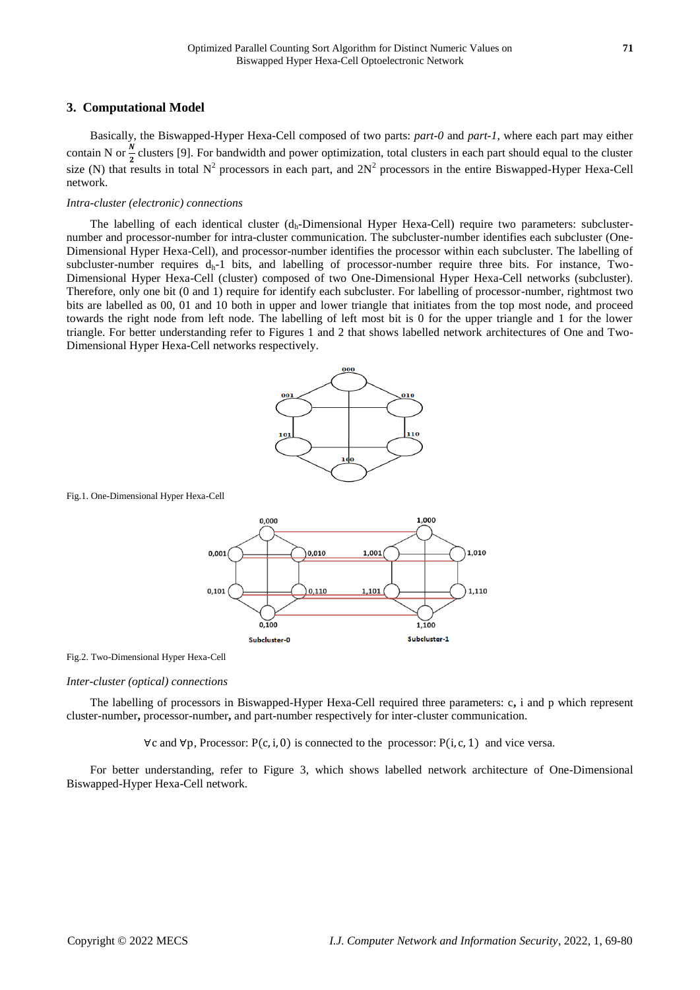# **3. Computational Model**

Basically, the Biswapped-Hyper Hexa-Cell composed of two parts: *part-0* and *part-1*, where each part may either contain N or  $\frac{N}{2}$  clusters [9]. For bandwidth and power optimization, total clusters in each part should equal to the cluster size (N) that results in total  $N^2$  processors in each part, and  $2N^2$  processors in the entire Biswapped-Hyper Hexa-Cell network.

## *Intra-cluster (electronic) connections*

The labelling of each identical cluster (dh-Dimensional Hyper Hexa-Cell) require two parameters: subclusternumber and processor-number for intra-cluster communication. The subcluster-number identifies each subcluster (One-Dimensional Hyper Hexa-Cell), and processor-number identifies the processor within each subcluster. The labelling of subcluster-number requires d<sub>h</sub>-1 bits, and labelling of processor-number require three bits. For instance, Two-Dimensional Hyper Hexa-Cell (cluster) composed of two One-Dimensional Hyper Hexa-Cell networks (subcluster). Therefore, only one bit (0 and 1) require for identify each subcluster. For labelling of processor-number, rightmost two bits are labelled as 00, 01 and 10 both in upper and lower triangle that initiates from the top most node, and proceed towards the right node from left node. The labelling of left most bit is 0 for the upper triangle and 1 for the lower triangle. For better understanding refer to Figures 1 and 2 that shows labelled network architectures of One and Two-Dimensional Hyper Hexa-Cell networks respectively.



Fig.1. One-Dimensional Hyper Hexa-Cell



Fig.2. Two-Dimensional Hyper Hexa-Cell

## *Inter-cluster (optical) connections*

The labelling of processors in Biswapped-Hyper Hexa-Cell required three parameters: c**,** i and p which represent cluster-number**,** processor-number**,** and part-number respectively for inter-cluster communication.

∀c and ∀p, Processor: P(c, i, 0) is connected to the processor: P(i, c, 1) and vice versa.

For better understanding, refer to Figure 3, which shows labelled network architecture of One-Dimensional Biswapped-Hyper Hexa-Cell network.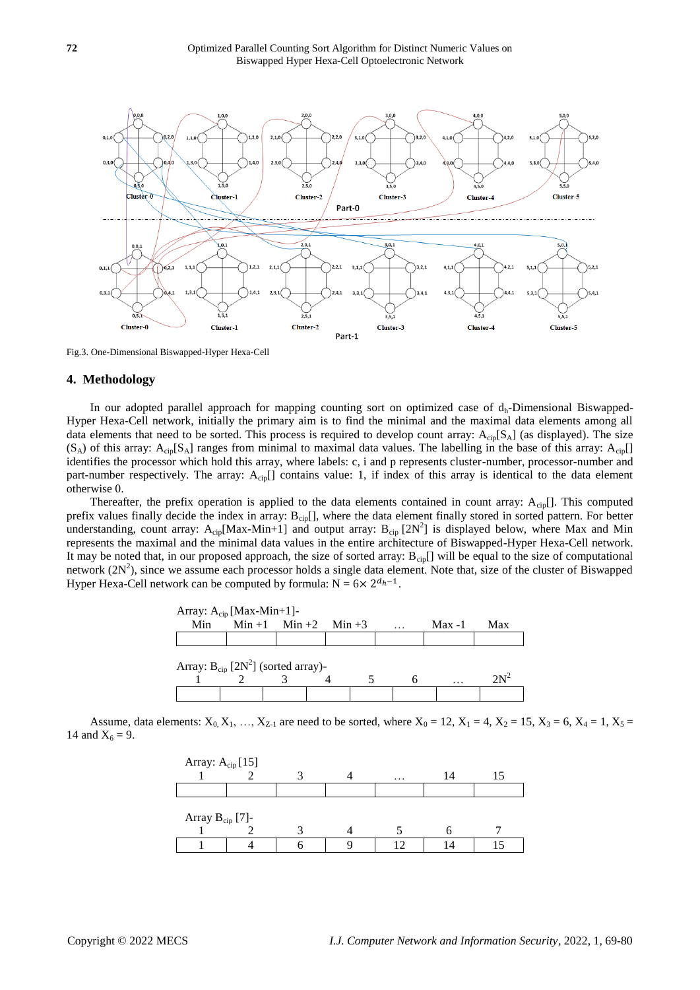

Fig.3. One-Dimensional Biswapped-Hyper Hexa-Cell

## **4. Methodology**

In our adopted parallel approach for mapping counting sort on optimized case of  $d<sub>h</sub>$ -Dimensional Biswapped-Hyper Hexa-Cell network, initially the primary aim is to find the minimal and the maximal data elements among all data elements that need to be sorted. This process is required to develop count array:  $A_{\text{cin}}[S_A]$  (as displayed). The size  $(S_A)$  of this array:  $A_{\rm{cin}}[S_A]$  ranges from minimal to maximal data values. The labelling in the base of this array:  $A_{\rm{cin}}[S_A]$ identifies the processor which hold this array, where labels: c, i and p represents cluster-number, processor-number and part-number respectively. The array: A<sub>cip</sub>[] contains value: 1, if index of this array is identical to the data element otherwise 0.

Thereafter, the prefix operation is applied to the data elements contained in count array:  $A_{cip}$ []. This computed prefix values finally decide the index in array:  $B_{\text{cip}}[$ , where the data element finally stored in sorted pattern. For better understanding, count array:  $A_{\text{cip}}[Max-Min+1]$  and output array:  $B_{\text{cip}}[2N^2]$  is displayed below, where Max and Min represents the maximal and the minimal data values in the entire architecture of Biswapped-Hyper Hexa-Cell network. It may be noted that, in our proposed approach, the size of sorted array:  $B_{\text{cip}}[$ ] will be equal to the size of computational network  $(2N^2)$ , since we assume each processor holds a single data element. Note that, size of the cluster of Biswapped Hyper Hexa-Cell network can be computed by formula:  $N = 6 \times 2^{d_h - 1}$ .



Assume, data elements:  $X_0, X_1, ..., X_{Z-1}$  are need to be sorted, where  $X_0 = 12, X_1 = 4, X_2 = 15, X_3 = 6, X_4 = 1, X_5 = 1$ 14 and  $X_6 = 9$ .

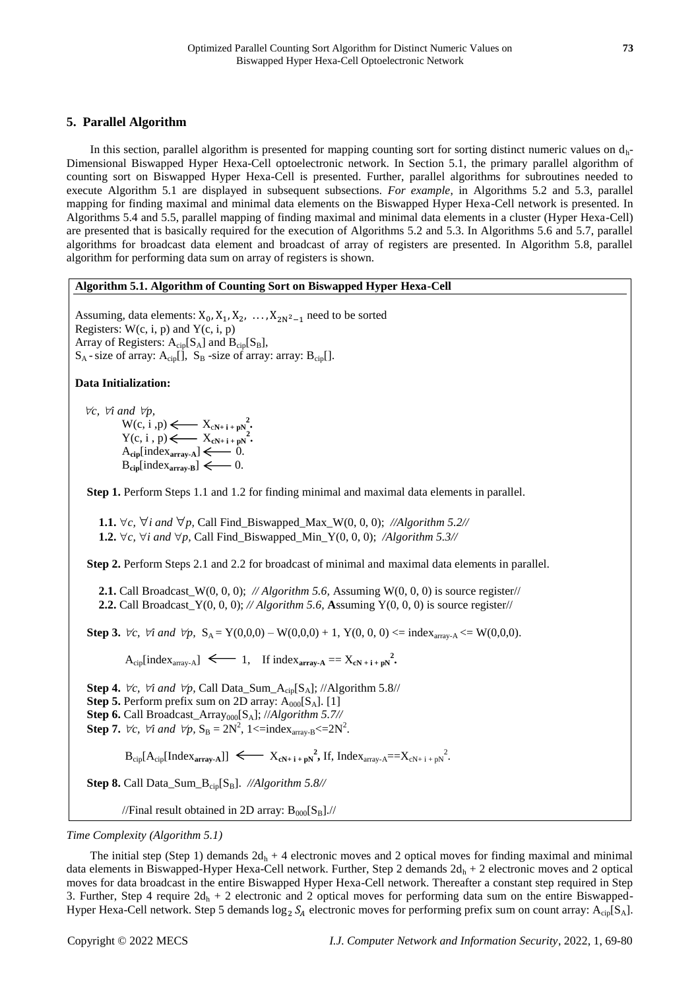# **5. Parallel Algorithm**

In this section, parallel algorithm is presented for mapping counting sort for sorting distinct numeric values on  $d_h$ -Dimensional Biswapped Hyper Hexa-Cell optoelectronic network. In Section 5.1, the primary parallel algorithm of counting sort on Biswapped Hyper Hexa-Cell is presented. Further, parallel algorithms for subroutines needed to execute Algorithm 5.1 are displayed in subsequent subsections*. For example*, in Algorithms 5.2 and 5.3, parallel mapping for finding maximal and minimal data elements on the Biswapped Hyper Hexa-Cell network is presented. In Algorithms 5.4 and 5.5, parallel mapping of finding maximal and minimal data elements in a cluster (Hyper Hexa-Cell) are presented that is basically required for the execution of Algorithms 5.2 and 5.3. In Algorithms 5.6 and 5.7, parallel algorithms for broadcast data element and broadcast of array of registers are presented. In Algorithm 5.8, parallel algorithm for performing data sum on array of registers is shown.

### **Algorithm 5.1. Algorithm of Counting Sort on Biswapped Hyper Hexa-Cell**

Assuming, data elements:  $X_0, X_1, X_2, \ldots, X_{2N^2-1}$  need to be sorted Registers:  $W(c, i, p)$  and  $Y(c, i, p)$ Array of Registers:  $A_{\text{cip}}[S_A]$  and  $B_{\text{cip}}[S_B]$ ,  $S_A$ -size of array:  $A_{\text{cin}}[]$ ,  $S_B$ -size of array: array:  $B_{\text{cin}}[]$ .

## **Data Initialization:**

 $\nabla c$ *,*  $\nabla i$  and  $\nabla p$ *,* 

 $W(c, i, p) \leftarrow X_{cN+i + pN}^2$  $Y(c, i, p) \leftarrow X_{cN+i + pN}^2$  $A_{\text{cip}}[\text{index}_{\text{array-A}}] \leftarrow 0.$  $B_{\text{cip}}[\text{index}_{\text{array-B}}] \leftarrow 0.$ 

**Step 1.** Perform Steps 1.1 and 1.2 for finding minimal and maximal data elements in parallel.

**1.1.**  $\forall c, \forall i$  and  $\forall p$ , Call Find\_Biswapped\_Max\_W(0, 0, 0); //Algorithm 5.2// **1.2.**  $\forall c, \forall i$  and  $\forall p$ , Call Find\_Biswapped\_Min\_Y(0, 0, 0); */Algorithm 5.3//* 

**Step 2.** Perform Steps 2.1 and 2.2 for broadcast of minimal and maximal data elements in parallel.

**2.1.** Call Broadcast\_W(0, 0, 0); *// Algorithm 5.6,* Assuming W(0, 0, 0) is source register// **2.2.** Call Broadcast\_Y(0, 0, 0); *// Algorithm 5.6,* **A**ssuming Y(0, 0, 0) is source register//

**Step 3.**  $\forall c, \forall i \text{ and } \forall p, S_A = Y(0,0,0) - W(0,0,0) + 1, Y(0,0,0) \leq \text{index}_{array-A} \leq W(0,0,0).$ 

 $A_{\text{cip}}[\text{index}_{\text{array-A}}] \leq 1$ , If  $\text{index}_{\text{array-A}} == X_{\text{cN}+1+\text{pN}}^2$ .

**Step 4.**  $\forall c$ ,  $\forall i$  and  $\forall p$ , Call Data\_Sum\_A<sub>cip</sub>[S<sub>A</sub>]; //Algorithm 5.8// **Step 5.** Perform prefix sum on 2D array:  $A_{000}[S_A]$ . [1] **Step 6.** Call Broadcast\_Array<sub>000</sub>[S<sub>A</sub>]; //*Algorithm 5.7//* **Step 7.**  $\forall c, \forall i \text{ and } \forall p, S_B = 2N^2, 1 \leq \text{index}_{array-B} \leq 2N^2.$ 

 $\text{B}_{\text{cip}}[\text{A}_{\text{cip}}[\text{Index}_{\text{array-A}}]] \leq \text{X}_{\text{cN}+i+pN}^2$ , If, Index<sub>array-A</sub>== $\text{X}_{\text{cN}+i+pN}^2$ .

Step 8. Call Data\_Sum\_B<sub>cip</sub>[S<sub>B</sub>]. //Algorithm 5.8//

//Final result obtained in 2D array:  $B_{000}[S_B]//$ 

## *Time Complexity (Algorithm 5.1)*

The initial step (Step 1) demands  $2d_h + 4$  electronic moves and 2 optical moves for finding maximal and minimal data elements in Biswapped-Hyper Hexa-Cell network. Further, Step 2 demands  $2d_h + 2$  electronic moves and 2 optical moves for data broadcast in the entire Biswapped Hyper Hexa-Cell network. Thereafter a constant step required in Step 3. Further, Step 4 require  $2d_h + 2$  electronic and 2 optical moves for performing data sum on the entire Biswapped-Hyper Hexa-Cell network. Step 5 demands  $\log_2 S_A$  electronic moves for performing prefix sum on count array: A<sub>cip</sub>[S<sub>A</sub>].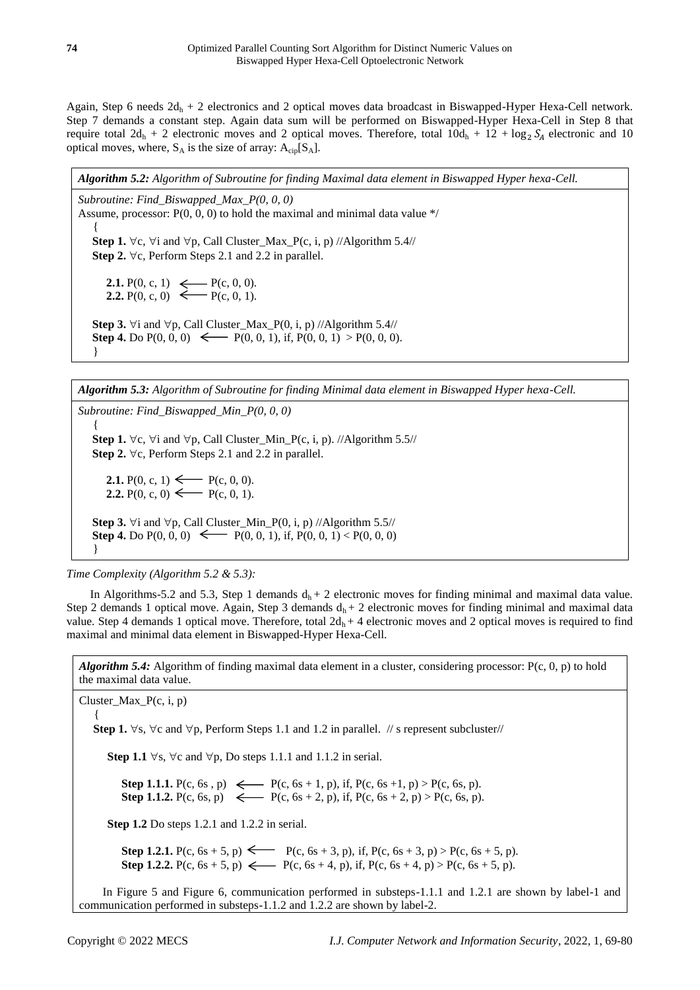Again, Step 6 needs  $2d_h + 2$  electronics and 2 optical moves data broadcast in Biswapped-Hyper Hexa-Cell network. Step 7 demands a constant step. Again data sum will be performed on Biswapped-Hyper Hexa-Cell in Step 8 that require total  $2d_h + 2$  electronic moves and 2 optical moves. Therefore, total  $10d_h + 12 + \log_2 S_A$  electronic and 10 optical moves, where,  $S_A$  is the size of array:  $A_{\text{cip}}[S_A]$ .

*Algorithm 5.2: Algorithm of Subroutine for finding Maximal data element in Biswapped Hyper hexa-Cell.*

*Subroutine: Find\_Biswapped\_Max\_P(0, 0, 0)* Assume, processor:  $P(0, 0, 0)$  to hold the maximal and minimal data value  $*/$  { **Step 1.**  $\forall$ c,  $\forall$ i and  $\forall$ p, Call Cluster\_Max\_P(c, i, p) //Algorithm 5.4// **Step 2.**  $\forall$ c, Perform Steps 2.1 and 2.2 in parallel. **2.1.** P(0, c, 1)  $\leftarrow$  P(c, 0, 0). **2.2.** P(0, c, 0)  $\longleftarrow$  P(c, 0, 1). **Step 3.**  $\forall$ i and  $\forall$ p, Call Cluster\_Max\_P(0, i, p) //Algorithm 5.4// **Step 4.** Do  $P(0, 0, 0) \leftarrow P(0, 0, 1)$ , if,  $P(0, 0, 1) > P(0, 0, 0)$ .

}

*Algorithm 5.3: Algorithm of Subroutine for finding Minimal data element in Biswapped Hyper hexa-Cell.*

*Subroutine: Find\_Biswapped\_Min\_P(0, 0, 0)* { **Step 1.**  $\forall$ c,  $\forall$ i and  $\forall$ p, Call Cluster\_Min\_P(c, i, p). //Algorithm 5.5// **Step 2.**  $\forall$ c, Perform Steps 2.1 and 2.2 in parallel. **2.1.** P(0, c, 1)  $\longleftarrow$  P(c, 0, 0). **2.2.** P(0, c, 0)  $\longleftarrow$  P(c, 0, 1). **Step 3.**  $\forall$ i and  $\forall$ p, Call Cluster\_Min\_P(0, i, p) //Algorithm 5.5// **Step 4.** Do P(0, 0, 0)  $\longleftarrow$  P(0, 0, 1), if, P(0, 0, 1) < P(0, 0, 0) }

*Time Complexity (Algorithm 5.2 & 5.3):*

In Algorithms-5.2 and 5.3, Step 1 demands  $d_h + 2$  electronic moves for finding minimal and maximal data value. Step 2 demands 1 optical move. Again, Step 3 demands  $d_h + 2$  electronic moves for finding minimal and maximal data value. Step 4 demands 1 optical move. Therefore, total  $2d_h + 4$  electronic moves and 2 optical moves is required to find maximal and minimal data element in Biswapped-Hyper Hexa-Cell.

*Algorithm 5.4:* Algorithm of finding maximal data element in a cluster, considering processor: P(c, 0, p) to hold the maximal data value.

Cluster\_Max\_P(c, i, p)  $\{$ **Step 1.**  $\forall$ s,  $\forall$ c and  $\forall$ p, Perform Steps 1.1 and 1.2 in parallel. // s represent subcluster// **Step 1.1**  $\forall$ s,  $\forall$ c and  $\forall$ p, Do steps 1.1.1 and 1.1.2 in serial. **Step 1.1.1.** P(c, 6s, p)  $\leftarrow$  P(c, 6s + 1, p), if, P(c, 6s + 1, p) > P(c, 6s, p). **Step 1.1.2.**  $P(c, 6s, p) \leftarrow P(c, 6s + 2, p)$ , if,  $P(c, 6s + 2, p) > P(c, 6s, p)$ . **Step 1.2** Do steps 1.2.1 and 1.2.2 in serial. **Step 1.2.1.**  $P(c, 6s + 5, p)$   $\longleftarrow$   $P(c, 6s + 3, p)$ , if,  $P(c, 6s + 3, p) > P(c, 6s + 5, p)$ . **Step 1.2.2.**  $P(c, 6s + 5, p) \leftarrow P(c, 6s + 4, p)$ , if,  $P(c, 6s + 4, p) > P(c, 6s + 5, p)$ . In Figure 5 and Figure 6, communication performed in substeps-1.1.1 and 1.2.1 are shown by label-1 and communication performed in substeps-1.1.2 and 1.2.2 are shown by label-2.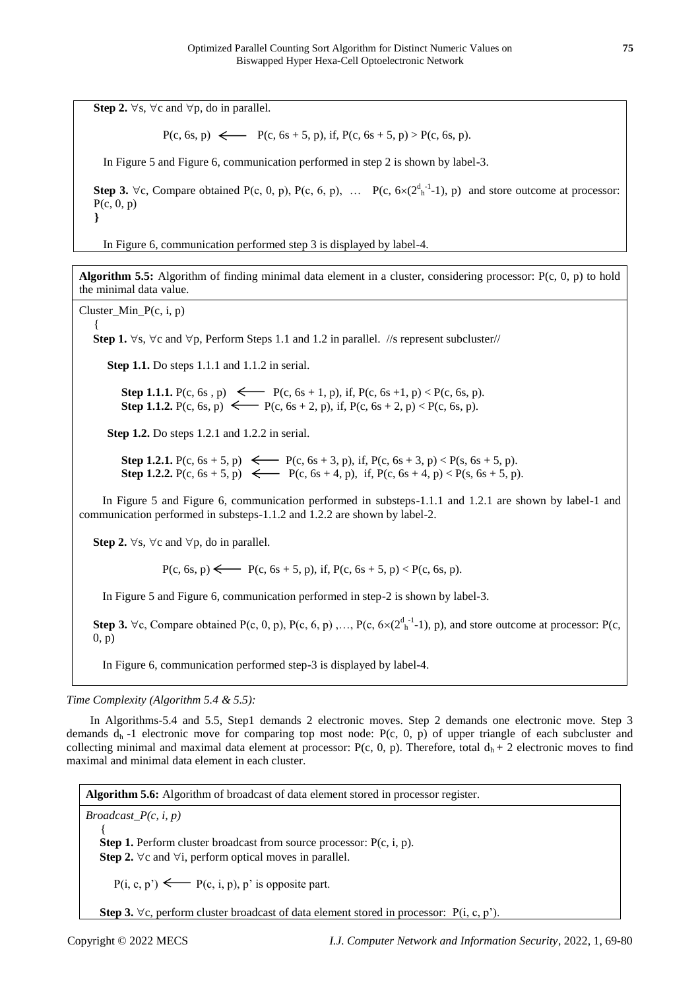**Step 2.**  $\forall$ s,  $\forall$ c and  $\forall$ p, do in parallel.

 $P(c, 6s, p) \leftarrow P(c, 6s + 5, p), \text{ if, } P(c, 6s + 5, p) > P(c, 6s, p).$ 

In Figure 5 and Figure 6, communication performed in step 2 is shown by label-3.

**Step 3.**  $\forall$  c, Compare obtained P(c, 0, p), P(c, 6, p), ... P(c,  $6 \times (2^{d}{}_{h}^{-1}1)$ , p) and store outcome at processor:  $P(c, 0, p)$ **}**

In Figure 6, communication performed step 3 is displayed by label-4.

**Algorithm 5.5:** Algorithm of finding minimal data element in a cluster, considering processor: P(c, 0, p) to hold the minimal data value.

Cluster\_Min\_P(c, i, p)

{

**Step 1.**  $\forall$ s,  $\forall$ c and  $\forall$ p, Perform Steps 1.1 and 1.2 in parallel. //s represent subcluster//

**Step 1.1.** Do steps 1.1.1 and 1.1.2 in serial.

**Step 1.1.1.**  $P(c, 6s, p) \leftarrow P(c, 6s + 1, p)$ , if,  $P(c, 6s + 1, p) < P(c, 6s, p)$ . **Step 1.1.2.**  $P(c, 6s, p) \leftarrow P(c, 6s + 2, p)$ , if,  $P(c, 6s + 2, p) < P(c, 6s, p)$ .

**Step 1.2.** Do steps 1.2.1 and 1.2.2 in serial.

**Step 1.2.1.**  $P(c, 6s + 5, p) \leftarrow P(c, 6s + 3, p)$ , if,  $P(c, 6s + 3, p) < P(s, 6s + 5, p)$ . **Step 1.2.2.** P(c,  $6s + 5$ , p)  $\leftarrow$  P(c,  $6s + 4$ , p), if, P(c,  $6s + 4$ , p) < P(s,  $6s + 5$ , p).

In Figure 5 and Figure 6, communication performed in substeps-1.1.1 and 1.2.1 are shown by label-1 and communication performed in substeps-1.1.2 and 1.2.2 are shown by label-2.

**Step 2.**  $\forall$ s,  $\forall$ c and  $\forall$ p, do in parallel.

 $P(c, 6s, p) \longleftarrow P(c, 6s + 5, p), \text{ if, } P(c, 6s + 5, p) < P(c, 6s, p).$ 

In Figure 5 and Figure 6, communication performed in step-2 is shown by label-3.

**Step 3.**  $\forall$  c, Compare obtained P(c, 0, p), P(c, 6, p),..., P(c,  $6 \times (2^{d-1}_{h} - 1)$ , p), and store outcome at processor: P(c, 0, p)

In Figure 6, communication performed step-3 is displayed by label-4.

*Time Complexity (Algorithm 5.4 & 5.5):*

In Algorithms-5.4 and 5.5, Step1 demands 2 electronic moves. Step 2 demands one electronic move. Step 3 demands  $d<sub>h</sub>$  -1 electronic move for comparing top most node: P(c, 0, p) of upper triangle of each subcluster and collecting minimal and maximal data element at processor: P(c, 0, p). Therefore, total  $d_h + 2$  electronic moves to find maximal and minimal data element in each cluster.

**Algorithm 5.6:** Algorithm of broadcast of data element stored in processor register.

*Broadcast\_P(c, i, p)*   $\{$ 

> **Step 1.** Perform cluster broadcast from source processor: P(c, i, p). **Step 2.**  $\forall$ c and  $\forall$ i, perform optical moves in parallel.

 $P(i, c, p') \longleftarrow P(c, i, p), p'$  is opposite part.

**Step 3.**  $\forall$ c, perform cluster broadcast of data element stored in processor:  $P(i, c, p')$ .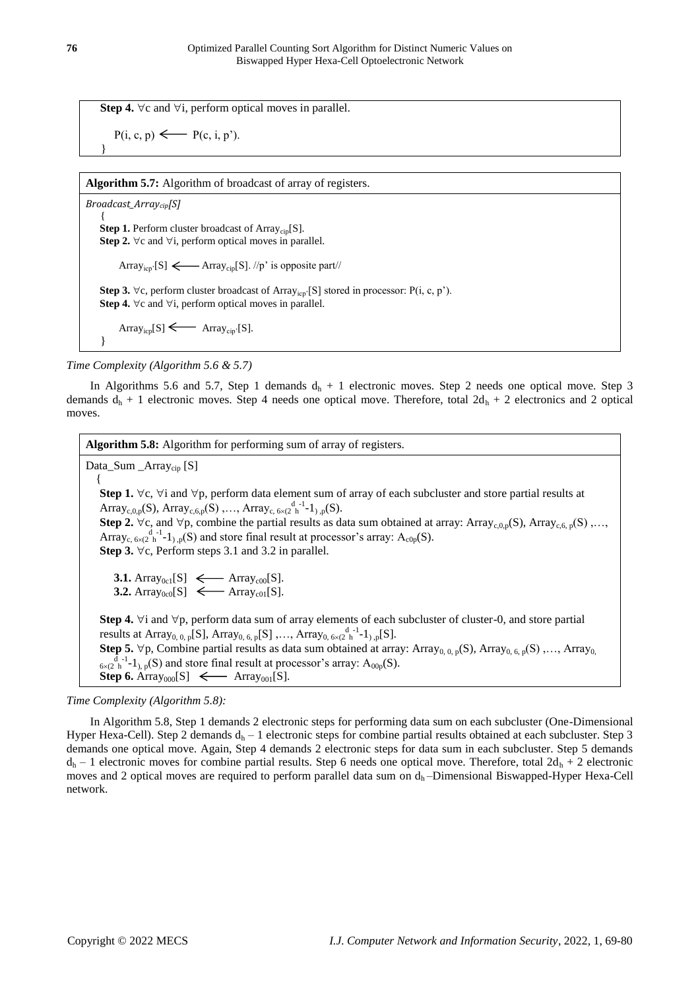**Step 4.**  $\forall$ c and  $\forall$ i, perform optical moves in parallel.

$$
P(i, c, p) \longleftarrow P(c, i, p').
$$

**Algorithm 5.7:** Algorithm of broadcast of array of registers.

*Broadcast\_Arraycip[S]*   $\left\{\right.$ **Step 1.** Perform cluster broadcast of Array<sub>cip</sub>[S]. **Step 2.**  $\forall$ c and  $\forall$ i, perform optical moves in parallel. Array<sub>icp</sub>'[S]  $\longleftarrow$  Array<sub>cip</sub>[S]. //p' is opposite part// **Step 3.**  $\forall$ c, perform cluster broadcast of Array<sub>icp</sub>'[S] stored in processor: P(i, c, p'). **Step 4.**  $\forall$ c and  $\forall$ i, perform optical moves in parallel.  $Array_{icp}[S] \longleftarrow$   $Array_{cip}[S]$ . }

*Time Complexity (Algorithm 5.6 & 5.7)* 

In Algorithms 5.6 and 5.7, Step 1 demands  $d_h + 1$  electronic moves. Step 2 needs one optical move. Step 3 demands  $d_h$  + 1 electronic moves. Step 4 needs one optical move. Therefore, total  $2d_h$  + 2 electronics and 2 optical moves.

**Algorithm 5.8:** Algorithm for performing sum of array of registers. Data\_Sum \_Array<sub>cip</sub> [S]

{ Step 1.  $\forall$ c,  $\forall$ i and  $\forall$ p, perform data element sum of array of each subcluster and store partial results at Array<sub>c,0,p</sub>(S), Array<sub>c,6,p</sub>(S),..., Array<sub>c, 6×(2</sub><sup>d-1</sup>-1<sub>),p</sub>(S). **Step 2.**  $\forall$ c, and  $\forall$ p, combine the partial results as data sum obtained at array: Array<sub>c,0,p</sub>(S), Array<sub>c,6,p</sub>(S),..., Array<sub>c, 6×(2</sub><sup>d-1</sup>-1<sub>)</sub>,  $_p(S)$  and store final result at processor's array: A<sub>c0p</sub>(S). **Step 3.**  $\forall$ c, Perform steps 3.1 and 3.2 in parallel. **3.1.** Array<sub>0c1</sub>[S]  $\leftarrow$  Array<sub>c00</sub>[S]. **3.2.**  $\text{Array}_{0c0}[S] \leftarrow \text{Array}_{c01}[S].$ **Step 4.**  $\forall i$  and  $\forall p$ , perform data sum of array elements of each subcluster of cluster-0, and store partial results at Array<sub>0, 0, p</sub>[S], Array<sub>0, 6, p</sub>[S],..., Array<sub>0, 6×(2</sub><sup>d-1</sup>-1<sub>),p</sub>[S]. **Step 5.**  $\forall p$ , Combine partial results as data sum obtained at array: Array<sub>0, 0, p</sub>(S), Array<sub>0, 6, p</sub>(S),..., Array<sub>0,</sub>  $\frac{d}{dx}$ <sup>d-1</sup>-1<sub>), p</sub>(S) and store final result at processor's array: A<sub>00p</sub>(S). **Step 6.** Array<sub>000</sub>[S]  $\leftarrow$  Array<sub>001</sub>[S].

*Time Complexity (Algorithm 5.8):* 

In Algorithm 5.8, Step 1 demands 2 electronic steps for performing data sum on each subcluster (One-Dimensional Hyper Hexa-Cell). Step 2 demands  $d_h - 1$  electronic steps for combine partial results obtained at each subcluster. Step 3 demands one optical move. Again, Step 4 demands 2 electronic steps for data sum in each subcluster. Step 5 demands  $d_h$  – 1 electronic moves for combine partial results. Step 6 needs one optical move. Therefore, total  $2d_h$  + 2 electronic moves and 2 optical moves are required to perform parallel data sum on  $d_h$ —Dimensional Biswapped-Hyper Hexa-Cell network.

}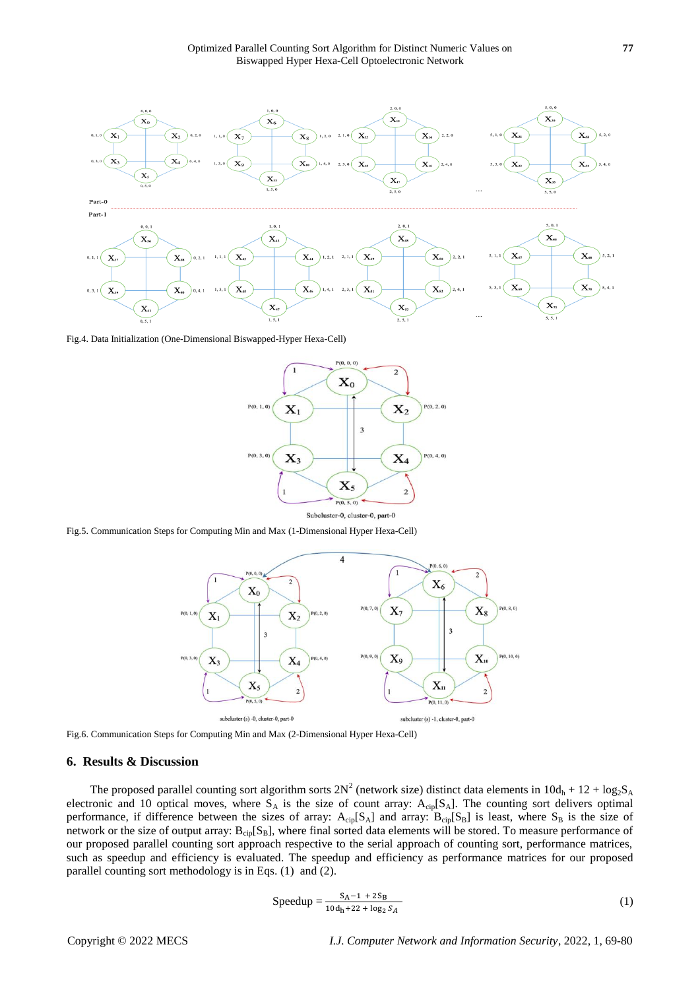

Fig.4. Data Initialization (One-Dimensional Biswapped-Hyper Hexa-Cell)



Fig.5. Communication Steps for Computing Min and Max (1-Dimensional Hyper Hexa-Cell)



Fig.6. Communication Steps for Computing Min and Max (2-Dimensional Hyper Hexa-Cell)

#### **6. Results & Discussion**

The proposed parallel counting sort algorithm sorts  $2N^2$  (network size) distinct data elements in  $10d_h + 12 + log_2S_A$ electronic and 10 optical moves, where  $S_A$  is the size of count array:  $A_{\text{cin}}[S_A]$ . The counting sort delivers optimal performance, if difference between the sizes of array:  $A_{\text{cio}}[S_A]$  and array:  $B_{\text{cio}}[S_B]$  is least, where  $S_B$  is the size of network or the size of output array:  $B_{\text{cin}}[S_B]$ , where final sorted data elements will be stored. To measure performance of our proposed parallel counting sort approach respective to the serial approach of counting sort, performance matrices, such as speedup and efficiency is evaluated. The speedup and efficiency as performance matrices for our proposed parallel counting sort methodology is in Eqs. (1) and (2).

$$
Speedup = \frac{S_A - 1 + 2S_B}{10d_h + 22 + \log_2 S_A}
$$
 (1)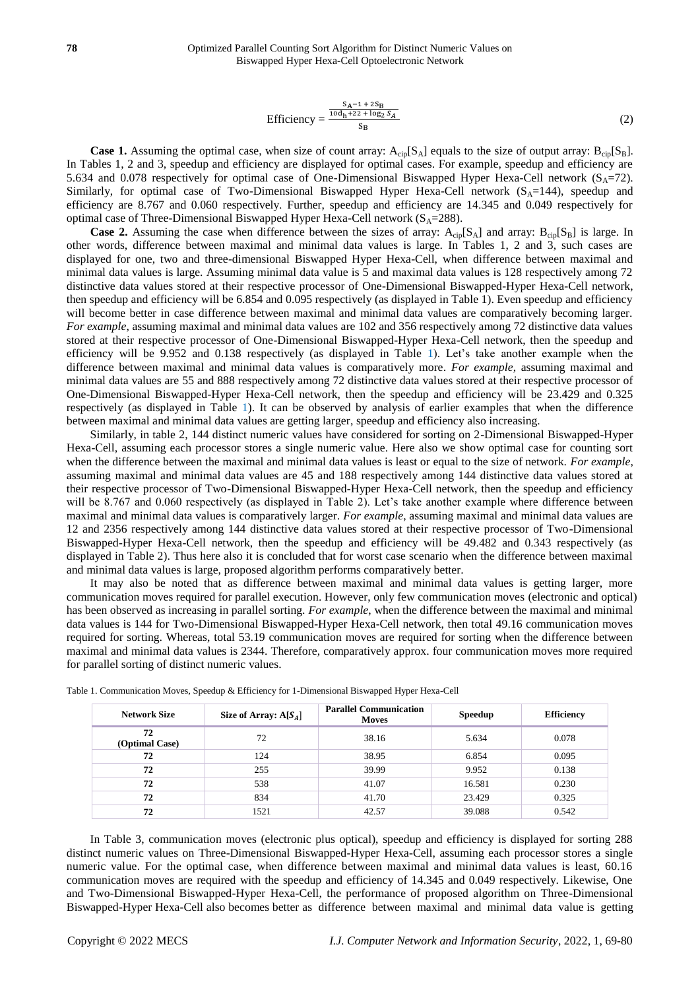$$
\text{Efficiency} = \frac{\frac{S_A - 1 + 2S_B}{10d_h + 22 + \log_2 S_A}}{S_B} \tag{2}
$$

**Case 1.** Assuming the optimal case, when size of count array:  $A_{\text{cip}}[S_A]$  equals to the size of output array:  $B_{\text{cip}}[S_B]$ . In Tables 1, 2 and 3, speedup and efficiency are displayed for optimal cases. For example, speedup and efficiency are 5.634 and 0.078 respectively for optimal case of One-Dimensional Biswapped Hyper Hexa-Cell network ( $S_A$ =72). Similarly, for optimal case of Two-Dimensional Biswapped Hyper Hexa-Cell network  $(S<sub>A</sub>=144)$ , speedup and efficiency are 8.767 and 0.060 respectively. Further, speedup and efficiency are 14.345 and 0.049 respectively for optimal case of Three-Dimensional Biswapped Hyper Hexa-Cell network  $(S_A=288)$ .

**Case 2.** Assuming the case when difference between the sizes of array:  $A_{\text{cip}}[S_A]$  and array:  $B_{\text{cip}}[S_B]$  is large. In other words, difference between maximal and minimal data values is large. In Tables 1, 2 and 3, such cases are displayed for one, two and three-dimensional Biswapped Hyper Hexa-Cell, when difference between maximal and minimal data values is large. Assuming minimal data value is 5 and maximal data values is 128 respectively among 72 distinctive data values stored at their respective processor of One-Dimensional Biswapped-Hyper Hexa-Cell network, then speedup and efficiency will be 6.854 and 0.095 respectively (as displayed in Table 1). Even speedup and efficiency will become better in case difference between maximal and minimal data values are comparatively becoming larger. *For example*, assuming maximal and minimal data values are 102 and 356 respectively among 72 distinctive data values stored at their respective processor of One-Dimensional Biswapped-Hyper Hexa-Cell network, then the speedup and efficiency will be 9.952 and 0.138 respectively (as displayed in Table 1). Let's take another example when the difference between maximal and minimal data values is comparatively more*. For example*, assuming maximal and minimal data values are 55 and 888 respectively among 72 distinctive data values stored at their respective processor of One-Dimensional Biswapped-Hyper Hexa-Cell network, then the speedup and efficiency will be 23.429 and 0.325 respectively (as displayed in Table 1). It can be observed by analysis of earlier examples that when the difference between maximal and minimal data values are getting larger, speedup and efficiency also increasing.

Similarly, in table 2, 144 distinct numeric values have considered for sorting on 2-Dimensional Biswapped-Hyper Hexa-Cell, assuming each processor stores a single numeric value. Here also we show optimal case for counting sort when the difference between the maximal and minimal data values is least or equal to the size of network. *For example*, assuming maximal and minimal data values are 45 and 188 respectively among 144 distinctive data values stored at their respective processor of Two-Dimensional Biswapped-Hyper Hexa-Cell network, then the speedup and efficiency will be 8.767 and 0.060 respectively (as displayed in Table 2). Let's take another example where difference between maximal and minimal data values is comparatively larger. *For example*, assuming maximal and minimal data values are 12 and 2356 respectively among 144 distinctive data values stored at their respective processor of Two-Dimensional Biswapped-Hyper Hexa-Cell network, then the speedup and efficiency will be 49.482 and 0.343 respectively (as displayed in Table 2). Thus here also it is concluded that for worst case scenario when the difference between maximal and minimal data values is large, proposed algorithm performs comparatively better.

It may also be noted that as difference between maximal and minimal data values is getting larger, more communication moves required for parallel execution. However, only few communication moves (electronic and optical) has been observed as increasing in parallel sorting. *For example*, when the difference between the maximal and minimal data values is 144 for Two-Dimensional Biswapped-Hyper Hexa-Cell network, then total 49.16 communication moves required for sorting. Whereas, total 53.19 communication moves are required for sorting when the difference between maximal and minimal data values is 2344. Therefore, comparatively approx. four communication moves more required for parallel sorting of distinct numeric values.

| <b>Network Size</b>  | Size of Array: $A[S_4]$ | <b>Parallel Communication</b><br><b>Moves</b> | Speedup | <b>Efficiency</b> |
|----------------------|-------------------------|-----------------------------------------------|---------|-------------------|
| 72<br>(Optimal Case) | 72                      | 38.16                                         | 5.634   | 0.078             |
| 72                   | 124                     | 38.95                                         | 6.854   | 0.095             |
| 72                   | 255                     | 39.99                                         | 9.952   | 0.138             |
| 72                   | 538                     | 41.07                                         | 16.581  | 0.230             |
| 72                   | 834                     | 41.70                                         | 23.429  | 0.325             |
| 72                   | 1521                    | 42.57                                         | 39.088  | 0.542             |

Table 1. Communication Moves, Speedup & Efficiency for 1-Dimensional Biswapped Hyper Hexa-Cell

In Table 3, communication moves (electronic plus optical), speedup and efficiency is displayed for sorting 288 distinct numeric values on Three-Dimensional Biswapped-Hyper Hexa-Cell, assuming each processor stores a single numeric value. For the optimal case, when difference between maximal and minimal data values is least, 60.16 communication moves are required with the speedup and efficiency of 14.345 and 0.049 respectively. Likewise, One and Two-Dimensional Biswapped-Hyper Hexa-Cell, the performance of proposed algorithm on Three-Dimensional Biswapped-Hyper Hexa-Cell also becomes better as difference between maximal and minimal data value is getting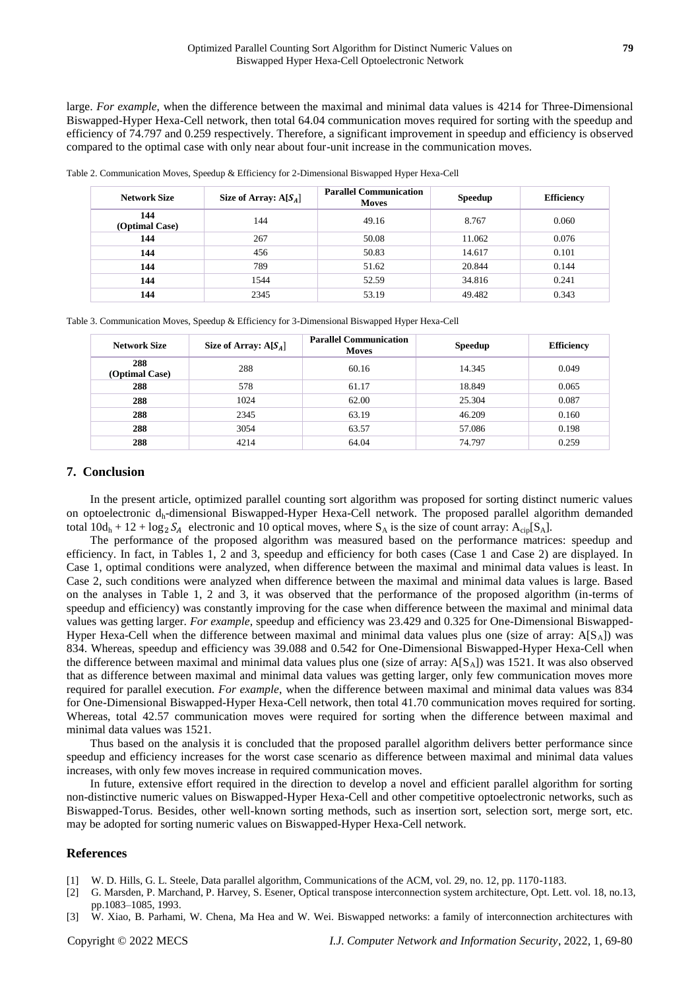large. *For example*, when the difference between the maximal and minimal data values is 4214 for Three-Dimensional Biswapped-Hyper Hexa-Cell network, then total 64.04 communication moves required for sorting with the speedup and efficiency of 74.797 and 0.259 respectively. Therefore, a significant improvement in speedup and efficiency is observed compared to the optimal case with only near about four-unit increase in the communication moves.

Table 2. Communication Moves, Speedup & Efficiency for 2-Dimensional Biswapped Hyper Hexa-Cell

| <b>Network Size</b>   | Size of Array: $A[S_A]$ | <b>Parallel Communication</b><br><b>Moves</b> | <b>Speedup</b> | <b>Efficiency</b> |
|-----------------------|-------------------------|-----------------------------------------------|----------------|-------------------|
| 144<br>(Optimal Case) | 144                     | 49.16                                         | 8.767          | 0.060             |
| 144                   | 267                     | 50.08                                         | 11.062         | 0.076             |
| 144                   | 456                     | 50.83                                         | 14.617         | 0.101             |
| 144                   | 789                     | 51.62                                         | 20.844         | 0.144             |
| 144                   | 1544                    | 52.59                                         | 34.816         | 0.241             |
| 144                   | 2345                    | 53.19                                         | 49.482         | 0.343             |

Table 3. Communication Moves, Speedup & Efficiency for 3-Dimensional Biswapped Hyper Hexa-Cell

| <b>Network Size</b>   | Size of Array: $A[S_4]$ | <b>Parallel Communication</b><br><b>Moves</b> | <b>Speedup</b> | <b>Efficiency</b> |
|-----------------------|-------------------------|-----------------------------------------------|----------------|-------------------|
| 288<br>(Optimal Case) | 288                     | 60.16                                         | 14.345         | 0.049             |
| 288                   | 578                     | 61.17                                         | 18.849         | 0.065             |
| 288                   | 1024                    | 62.00                                         | 25.304         | 0.087             |
| 288                   | 2345                    | 63.19                                         | 46.209         | 0.160             |
| 288                   | 3054                    | 63.57                                         | 57.086         | 0.198             |
| 288                   | 4214                    | 64.04                                         | 74.797         | 0.259             |

## **7. Conclusion**

In the present article, optimized parallel counting sort algorithm was proposed for sorting distinct numeric values on optoelectronic dh-dimensional Biswapped-Hyper Hexa-Cell network. The proposed parallel algorithm demanded total  $10d_h + 12 + \log_2 S_A$  electronic and 10 optical moves, where  $S_A$  is the size of count array:  $A_{\text{cip}}[S_A]$ .

The performance of the proposed algorithm was measured based on the performance matrices: speedup and efficiency. In fact, in Tables 1, 2 and 3, speedup and efficiency for both cases (Case 1 and Case 2) are displayed. In Case 1, optimal conditions were analyzed, when difference between the maximal and minimal data values is least. In Case 2, such conditions were analyzed when difference between the maximal and minimal data values is large. Based on the analyses in Table 1, 2 and 3, it was observed that the performance of the proposed algorithm (in-terms of speedup and efficiency) was constantly improving for the case when difference between the maximal and minimal data values was getting larger. *For example*, speedup and efficiency was 23.429 and 0.325 for One-Dimensional Biswapped-Hyper Hexa-Cell when the difference between maximal and minimal data values plus one (size of array:  $A[S_A]$ ) was 834. Whereas, speedup and efficiency was 39.088 and 0.542 for One-Dimensional Biswapped-Hyper Hexa-Cell when the difference between maximal and minimal data values plus one (size of array:  $A[S_A]$ ) was 1521. It was also observed that as difference between maximal and minimal data values was getting larger, only few communication moves more required for parallel execution. *For example*, when the difference between maximal and minimal data values was 834 for One-Dimensional Biswapped-Hyper Hexa-Cell network, then total 41.70 communication moves required for sorting. Whereas, total 42.57 communication moves were required for sorting when the difference between maximal and minimal data values was 1521.

Thus based on the analysis it is concluded that the proposed parallel algorithm delivers better performance since speedup and efficiency increases for the worst case scenario as difference between maximal and minimal data values increases, with only few moves increase in required communication moves.

In future, extensive effort required in the direction to develop a novel and efficient parallel algorithm for sorting non-distinctive numeric values on Biswapped-Hyper Hexa-Cell and other competitive optoelectronic networks, such as Biswapped-Torus. Besides, other well-known sorting methods, such as insertion sort, selection sort, merge sort, etc. may be adopted for sorting numeric values on Biswapped-Hyper Hexa-Cell network.

## **References**

- [1] W. D. Hills, G. L. Steele, Data parallel algorithm, Communications of the ACM, vol. 29, no. 12, pp. 1170-1183.
- [2] G. Marsden, P. Marchand, P. Harvey, S. Esener, Optical transpose interconnection system architecture, Opt. Lett. vol. 18, no.13, pp.1083–1085, 1993.
- [3] W. Xiao, B. Parhami, W. Chena, Ma Hea and W. Wei. Biswapped networks: a family of interconnection architectures with